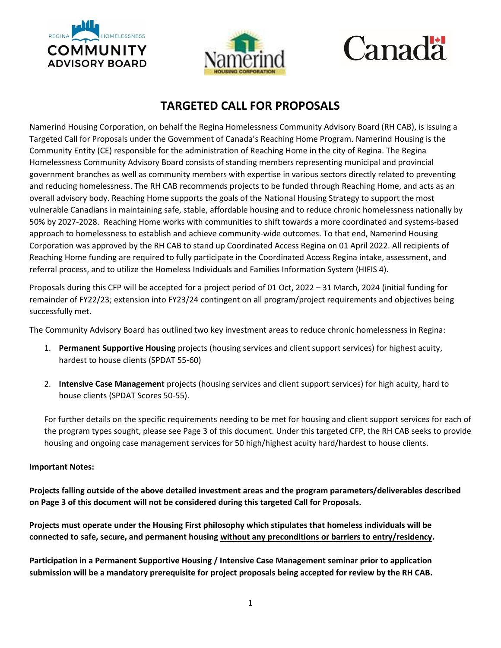



## Canadä

## **TARGETED CALL FOR PROPOSALS**

Namerind Housing Corporation, on behalf the Regina Homelessness Community Advisory Board (RH CAB), is issuing a Targeted Call for Proposals under the Government of Canada's Reaching Home Program. Namerind Housing is the Community Entity (CE) responsible for the administration of Reaching Home in the city of Regina. The Regina Homelessness Community Advisory Board consists of standing members representing municipal and provincial government branches as well as community members with expertise in various sectors directly related to preventing and reducing homelessness. The RH CAB recommends projects to be funded through Reaching Home, and acts as an overall advisory body. Reaching Home supports the goals of the National Housing Strategy to support the most vulnerable Canadians in maintaining safe, stable, affordable housing and to reduce chronic homelessness nationally by 50% by 2027-2028. Reaching Home works with communities to shift towards a more coordinated and systems-based approach to homelessness to establish and achieve community-wide outcomes. To that end, Namerind Housing Corporation was approved by the RH CAB to stand up Coordinated Access Regina on 01 April 2022. All recipients of Reaching Home funding are required to fully participate in the Coordinated Access Regina intake, assessment, and referral process, and to utilize the Homeless Individuals and Families Information System (HIFIS 4).

Proposals during this CFP will be accepted for a project period of 01 Oct, 2022 – 31 March, 2024 (initial funding for remainder of FY22/23; extension into FY23/24 contingent on all program/project requirements and objectives being successfully met.

The Community Advisory Board has outlined two key investment areas to reduce chronic homelessness in Regina:

- 1. **Permanent Supportive Housing** projects (housing services and client support services) for highest acuity, hardest to house clients (SPDAT 55-60)
- 2. **Intensive Case Management** projects (housing services and client support services) for high acuity, hard to house clients (SPDAT Scores 50-55).

For further details on the specific requirements needing to be met for housing and client support services for each of the program types sought, please see Page 3 of this document. Under this targeted CFP, the RH CAB seeks to provide housing and ongoing case management services for 50 high/highest acuity hard/hardest to house clients.

## **Important Notes:**

**Projects falling outside of the above detailed investment areas and the program parameters/deliverables described on Page 3 of this document will not be considered during this targeted Call for Proposals.**

**Projects must operate under the Housing First philosophy which stipulates that homeless individuals will be connected to safe, secure, and permanent housing without any preconditions or barriers to entry/residency.**

**Participation in a Permanent Supportive Housing / Intensive Case Management seminar prior to application submission will be a mandatory prerequisite for project proposals being accepted for review by the RH CAB.**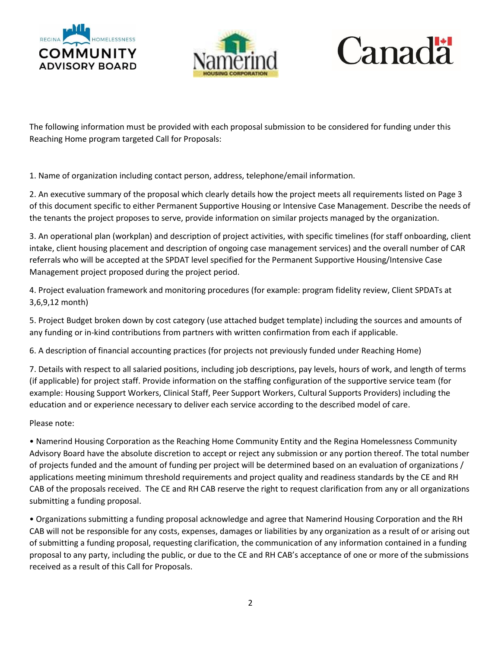





The following information must be provided with each proposal submission to be considered for funding under this Reaching Home program targeted Call for Proposals:

1. Name of organization including contact person, address, telephone/email information.

2. An executive summary of the proposal which clearly details how the project meets all requirements listed on Page 3 of this document specific to either Permanent Supportive Housing or Intensive Case Management. Describe the needs of the tenants the project proposes to serve, provide information on similar projects managed by the organization.

3. An operational plan (workplan) and description of project activities, with specific timelines (for staff onboarding, client intake, client housing placement and description of ongoing case management services) and the overall number of CAR referrals who will be accepted at the SPDAT level specified for the Permanent Supportive Housing/Intensive Case Management project proposed during the project period.

4. Project evaluation framework and monitoring procedures (for example: program fidelity review, Client SPDATs at 3,6,9,12 month)

5. Project Budget broken down by cost category (use attached budget template) including the sources and amounts of any funding or in-kind contributions from partners with written confirmation from each if applicable.

6. A description of financial accounting practices (for projects not previously funded under Reaching Home)

7. Details with respect to all salaried positions, including job descriptions, pay levels, hours of work, and length of terms (if applicable) for project staff. Provide information on the staffing configuration of the supportive service team (for example: Housing Support Workers, Clinical Staff, Peer Support Workers, Cultural Supports Providers) including the education and or experience necessary to deliver each service according to the described model of care.

Please note:

• Namerind Housing Corporation as the Reaching Home Community Entity and the Regina Homelessness Community Advisory Board have the absolute discretion to accept or reject any submission or any portion thereof. The total number of projects funded and the amount of funding per project will be determined based on an evaluation of organizations / applications meeting minimum threshold requirements and project quality and readiness standards by the CE and RH CAB of the proposals received. The CE and RH CAB reserve the right to request clarification from any or all organizations submitting a funding proposal.

• Organizations submitting a funding proposal acknowledge and agree that Namerind Housing Corporation and the RH CAB will not be responsible for any costs, expenses, damages or liabilities by any organization as a result of or arising out of submitting a funding proposal, requesting clarification, the communication of any information contained in a funding proposal to any party, including the public, or due to the CE and RH CAB's acceptance of one or more of the submissions received as a result of this Call for Proposals.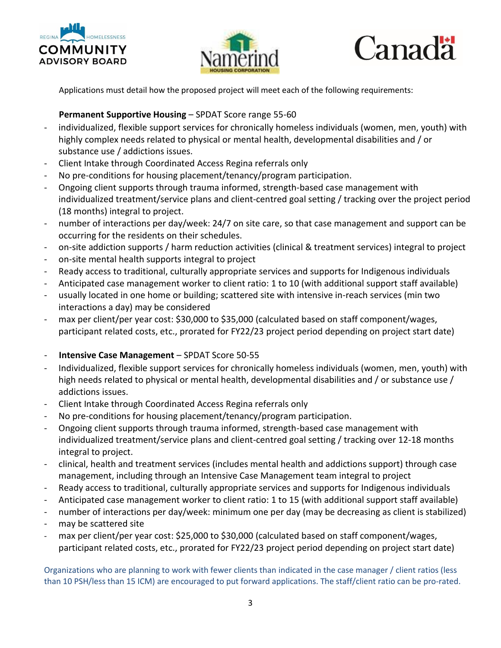





Applications must detail how the proposed project will meet each of the following requirements:

## **Permanent Supportive Housing** – SPDAT Score range 55-60

- individualized, flexible support services for chronically homeless individuals (women, men, youth) with highly complex needs related to physical or mental health, developmental disabilities and / or substance use / addictions issues.
- Client Intake through Coordinated Access Regina referrals only
- No pre-conditions for housing placement/tenancy/program participation.
- Ongoing client supports through trauma informed, strength-based case management with individualized treatment/service plans and client-centred goal setting / tracking over the project period (18 months) integral to project.
- number of interactions per day/week: 24/7 on site care, so that case management and support can be occurring for the residents on their schedules.
- on-site addiction supports / harm reduction activities (clinical & treatment services) integral to project
- on-site mental health supports integral to project
- Ready access to traditional, culturally appropriate services and supports for Indigenous individuals
- Anticipated case management worker to client ratio: 1 to 10 (with additional support staff available)
- usually located in one home or building; scattered site with intensive in-reach services (min two interactions a day) may be considered
- max per client/per year cost: \$30,000 to \$35,000 (calculated based on staff component/wages, participant related costs, etc., prorated for FY22/23 project period depending on project start date)
- **Intensive Case Management** SPDAT Score 50-55
- Individualized, flexible support services for chronically homeless individuals (women, men, youth) with high needs related to physical or mental health, developmental disabilities and / or substance use / addictions issues.
- Client Intake through Coordinated Access Regina referrals only
- No pre-conditions for housing placement/tenancy/program participation.
- Ongoing client supports through trauma informed, strength-based case management with individualized treatment/service plans and client-centred goal setting / tracking over 12-18 months integral to project.
- clinical, health and treatment services (includes mental health and addictions support) through case management, including through an Intensive Case Management team integral to project
- Ready access to traditional, culturally appropriate services and supports for Indigenous individuals
- Anticipated case management worker to client ratio: 1 to 15 (with additional support staff available)
- number of interactions per day/week: minimum one per day (may be decreasing as client is stabilized)
- may be scattered site
- max per client/per year cost: \$25,000 to \$30,000 (calculated based on staff component/wages, participant related costs, etc., prorated for FY22/23 project period depending on project start date)

Organizations who are planning to work with fewer clients than indicated in the case manager / client ratios (less than 10 PSH/less than 15 ICM) are encouraged to put forward applications. The staff/client ratio can be pro-rated.